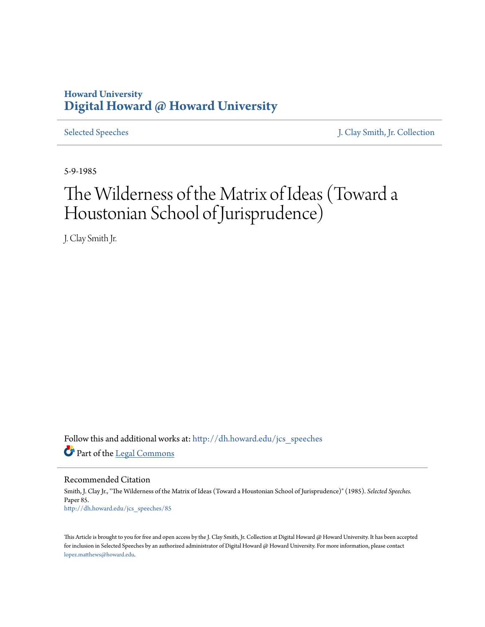## **Howard University [Digital Howard @ Howard University](http://dh.howard.edu?utm_source=dh.howard.edu%2Fjcs_speeches%2F85&utm_medium=PDF&utm_campaign=PDFCoverPages)**

[Selected Speeches](http://dh.howard.edu/jcs_speeches?utm_source=dh.howard.edu%2Fjcs_speeches%2F85&utm_medium=PDF&utm_campaign=PDFCoverPages) [J. Clay Smith, Jr. Collection](http://dh.howard.edu/jcsmith?utm_source=dh.howard.edu%2Fjcs_speeches%2F85&utm_medium=PDF&utm_campaign=PDFCoverPages)

5-9-1985

## The Wilderness of the Matrix of Ideas (Toward a Houstonian School of Jurisprudence)

J. Clay Smith Jr.

Follow this and additional works at: [http://dh.howard.edu/jcs\\_speeches](http://dh.howard.edu/jcs_speeches?utm_source=dh.howard.edu%2Fjcs_speeches%2F85&utm_medium=PDF&utm_campaign=PDFCoverPages) Part of the [Legal Commons](http://network.bepress.com/hgg/discipline/502?utm_source=dh.howard.edu%2Fjcs_speeches%2F85&utm_medium=PDF&utm_campaign=PDFCoverPages)

Recommended Citation Smith, J. Clay Jr., "The Wilderness of the Matrix of Ideas (Toward a Houstonian School of Jurisprudence)" (1985). *Selected Speeches.* Paper 85. [http://dh.howard.edu/jcs\\_speeches/85](http://dh.howard.edu/jcs_speeches/85?utm_source=dh.howard.edu%2Fjcs_speeches%2F85&utm_medium=PDF&utm_campaign=PDFCoverPages)

This Article is brought to you for free and open access by the J. Clay Smith, Jr. Collection at Digital Howard @ Howard University. It has been accepted for inclusion in Selected Speeches by an authorized administrator of Digital Howard @ Howard University. For more information, please contact [lopez.matthews@howard.edu.](mailto:lopez.matthews@howard.edu)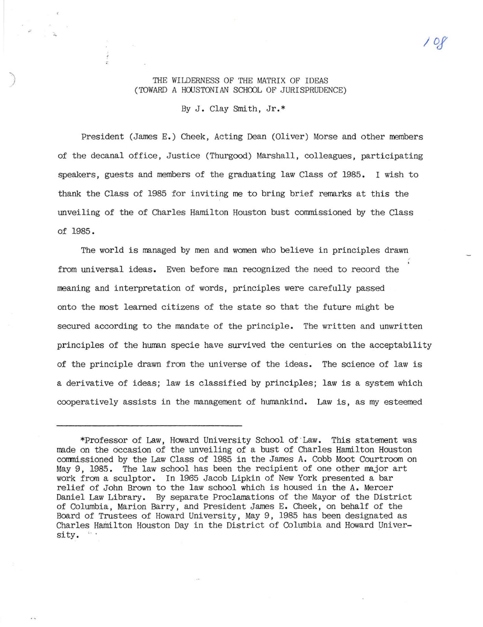## ) THE WILDERNESS OF THE MATRIX OF IDEAS (TOWARD A HOOSTONIAN SCHOOL OF JURISPRUDENCE)

*/O!* 

By J. Clay Smith, Jr.\*

President (James E. ) Cheek, Acting Dean (Oliver) Morse and other members of the decanal office, Justice (Thurgood) Marshall, colleagues, participating speakers, guests and members of the graduating law Class of 1985. I wish to thank the Class of 1985 for inviting me to bring brief remarks at this the unveiling of the of Charles Hamilton Houston bust commissioned by the Class of 1985.

The world is managed by men and women who believe in principles drawn from universal ideas. Even before man recognized the need to record the meaning and interpretation of words, principles were carefully passed onto the most learned citizens of the state so that the future might be secured according to the mandate of the principle. The written and unwritten principles of the human specie have survived the centuries on the acceptability of the principle drawn from the universe of the ideas. The science of law is a derivative of ideas; law is classified by principles; law is a system which cooperatively assists in the management of humankind. Law is, as my esteemed

. .

<sup>\*</sup>Professor of Law, Howard University School of "Law. This statement was made on the occasion of the unveiling of a bust of Charles Hamilton Houston commissioned by the Law Class of 1985 in the James A. Cobb Moot Courtroom on May 9, 1985. The law school has been the recipient of one other major art work from a sculptor. In 1965 Jacob Lipkin of New York presented a bar relief of John Brown to the law school which is housed in the A. Mercer Daniel Law Library. By separate Proclamations of the Mayor of the District of Columbia, Marion Barry, and President James E. Cheek, on behalf of the Board of Trustees of Howard University, May 9, 1985 has been designated as Charles Hamilton Houston Day in the District of Columbia and Howard University. '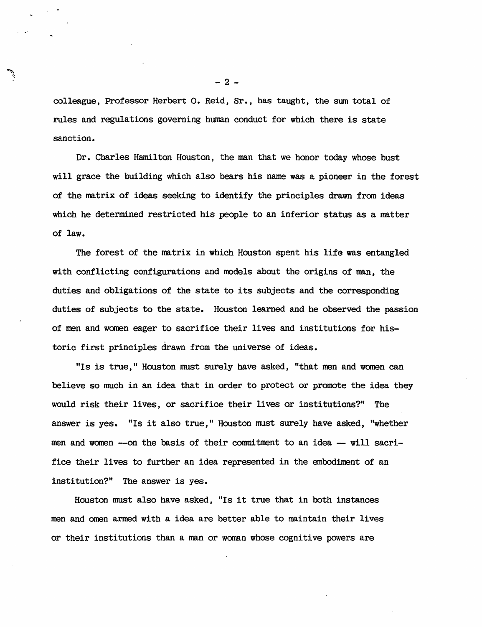colleague, Professor Herbert O. Reid, Sr., has taught, the sum total of rules and regulations governing human conduct for which there is state sanction.

Dr. Charles Hamilton Houston, the man that we honor today whose bust will grace the building which also bears his name was a pioneer in the forest of the matrix of ideas seeking to identify the principles drawn from ideas which he determined restricted his people to an inferior status as a matter of law.

The forest of the matrix in which Houston spent his life was entangled with conflicting configurations and models about the origins of man, the duties and obligations of the state to its subjects and the corresponding duties of subjects to the state. Houston learned and he observed the passion of men and women eager to sacrifice their lives and institutions for historic first principles drawn from the universe of ideas.

"Is is true," Houston must surely have asked, "that men and women can believe so much in an idea that in order to protect or promote the idea they would risk their lives, or sacrifice their lives or institutions?" The answer is yes. "Is it also true," Houston must surely have asked, "whether men and women --on the basis of their commitment to an idea -- will sacrifice their lives to further an idea represented in the embodiment of an institution?" The answer is yes.

Houston must also have asked, "ls it true that in both instances men and omen armed with a idea are better able to maintain their lives or their institutions than a man or woman whose cognitive powers are

 $-2 -$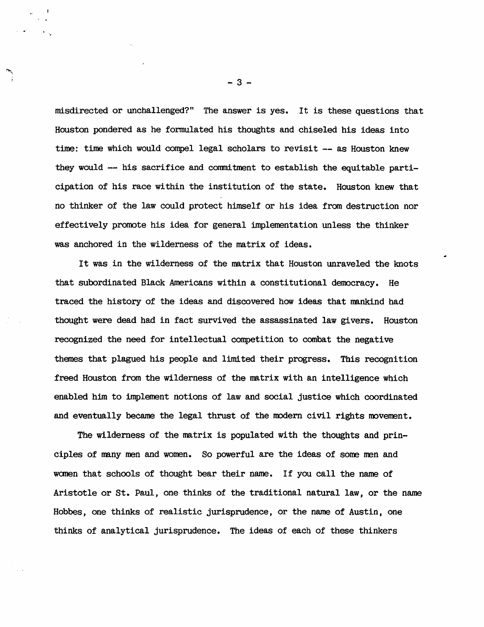misdirected or unchallenged?" The answer is yes. It is these questions that Houston pondered as he formulated his thoughts and chiseled his ideas into time: time which would compel legal scholars to revisit -- as Houston knew they would -- his sacrifice and commitment to establish the equitable participation of his race within the institution of the state. Houston knew that no thinker of the law could protect himself or his idea from destruction nor effectively promote his idea for general implementation unless the thinker was anchored in the wilderness of the matrix of ideas.

It was in the wilderness of the matrix that Houston unraveled the knots that subordinated Black Americans within a constitutional democracy. He traced the history of the ideas and discovered how ideas that mankind had thought were dead had in fact survived the assassinated law givers. Houston recognized the need for intellectual competition to combat the negative themes that plagued his people and limited their progress. This recognition freed Houston from the wilderness of the matrix with an intelligence which enabled him to implement notions of law and social justice which coordinated and eventually became the legal thrust of the modern civil rights movement.

The wilderness of the matrix is populated with the thoughts and principles of many men and women. So powerful are the ideas of sone nen and wanen that schools of thought bear their name. If you call the name of Aristotle or St. Paul, one thinks of the traditional natural law, or the name Hobbes, one thinks of realistic jurisprudence, or the name of Austin, one thinks of analytical jurisprudence. The ideas of each of these thinkers

 $-3 -$